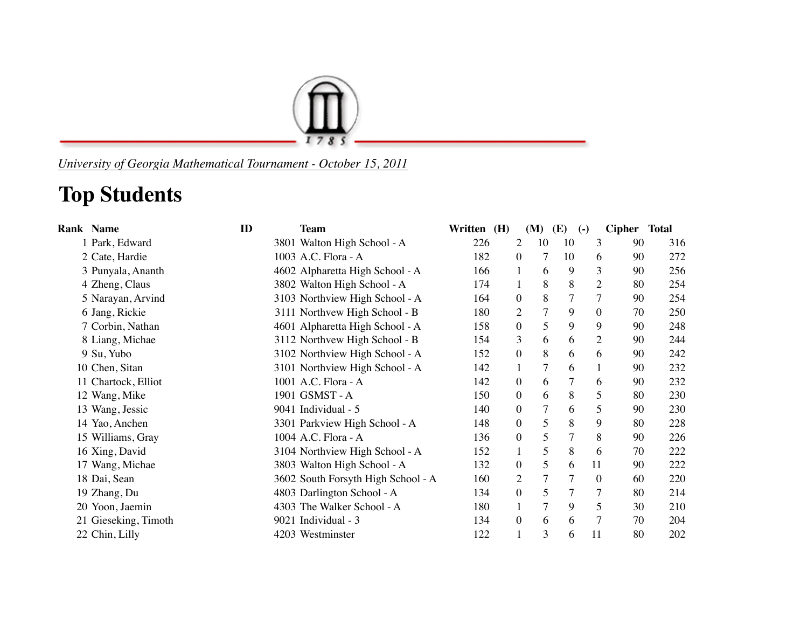

*University of Georgia Mathematical Tournament - October 15, 2011*

## **Top Students**

| <b>Rank Name</b>     | ID | <b>Team</b>                        | Written (H) |                  | (M)             | (E)            | $\left( -\right)$ | Cipher Total |     |
|----------------------|----|------------------------------------|-------------|------------------|-----------------|----------------|-------------------|--------------|-----|
| 1 Park, Edward       |    | 3801 Walton High School - A        | 226         | 2                | 10              | 10             | 3                 | 90           | 316 |
| 2 Cate, Hardie       |    | 1003 A.C. Flora - A                | 182         | $\theta$         | 7               | 10             | 6                 | 90           | 272 |
| 3 Punyala, Ananth    |    | 4602 Alpharetta High School - A    | 166         |                  | 6               | 9              | 3                 | 90           | 256 |
| 4 Zheng, Claus       |    | 3802 Walton High School - A        | 174         | $\mathbf{1}$     | 8               | 8              | $\overline{c}$    | 80           | 254 |
| 5 Narayan, Arvind    |    | 3103 Northview High School - A     | 164         | $\boldsymbol{0}$ | 8               | $\overline{7}$ | $\overline{7}$    | 90           | 254 |
| 6 Jang, Rickie       |    | 3111 Northvew High School - B      | 180         | 2                | $\overline{7}$  | 9              | $\boldsymbol{0}$  | 70           | 250 |
| 7 Corbin, Nathan     |    | 4601 Alpharetta High School - A    | 158         | $\boldsymbol{0}$ | 5               | 9              | 9                 | 90           | 248 |
| 8 Liang, Michae      |    | 3112 Northvew High School - B      | 154         | 3                | 6               | 6              | $\mathfrak{2}$    | 90           | 244 |
| 9 Su, Yubo           |    | 3102 Northview High School - A     | 152         | $\boldsymbol{0}$ | 8               | 6              | 6                 | 90           | 242 |
| 10 Chen, Sitan       |    | 3101 Northview High School - A     | 142         | $\mathbf{1}$     | 7               | 6              |                   | 90           | 232 |
| 11 Chartock, Elliot  |    | 1001 A.C. Flora - A                | 142         | $\boldsymbol{0}$ | 6               |                | 6                 | 90           | 232 |
| 12 Wang, Mike        |    | 1901 GSMST - A                     | 150         | $\overline{0}$   | 6               | 8              | 5                 | 80           | 230 |
| 13 Wang, Jessic      |    | 9041 Individual - 5                | 140         | $\mathbf{0}$     | $\overline{7}$  | 6              | 5                 | 90           | 230 |
| 14 Yao, Anchen       |    | 3301 Parkview High School - A      | 148         | $\mathbf{0}$     | 5               | 8              | 9                 | 80           | 228 |
| 15 Williams, Gray    |    | 1004 A.C. Flora - A                | 136         | $\boldsymbol{0}$ | 5               | 7              | 8                 | 90           | 226 |
| 16 Xing, David       |    | 3104 Northview High School - A     | 152         | $\mathbf{1}$     | 5               | 8              | 6                 | 70           | 222 |
| 17 Wang, Michae      |    | 3803 Walton High School - A        | 132         | $\mathbf{0}$     | 5               | 6              | 11                | 90           | 222 |
| 18 Dai, Sean         |    | 3602 South Forsyth High School - A | 160         | 2                | $\overline{7}$  |                | $\theta$          | 60           | 220 |
| 19 Zhang, Du         |    | 4803 Darlington School - A         | 134         | $\mathbf{0}$     | 5               | $\tau$         | 7                 | 80           | 214 |
| 20 Yoon, Jaemin      |    | 4303 The Walker School - A         | 180         | $\mathbf{1}$     | $7\overline{ }$ | 9              | 5                 | 30           | 210 |
| 21 Gieseking, Timoth |    | 9021 Individual - 3                | 134         | $\mathbf{0}$     | 6               | 6              | 7                 | 70           | 204 |
| 22 Chin, Lilly       |    | 4203 Westminster                   | 122         | 1                | 3               | 6              | 11                | 80           | 202 |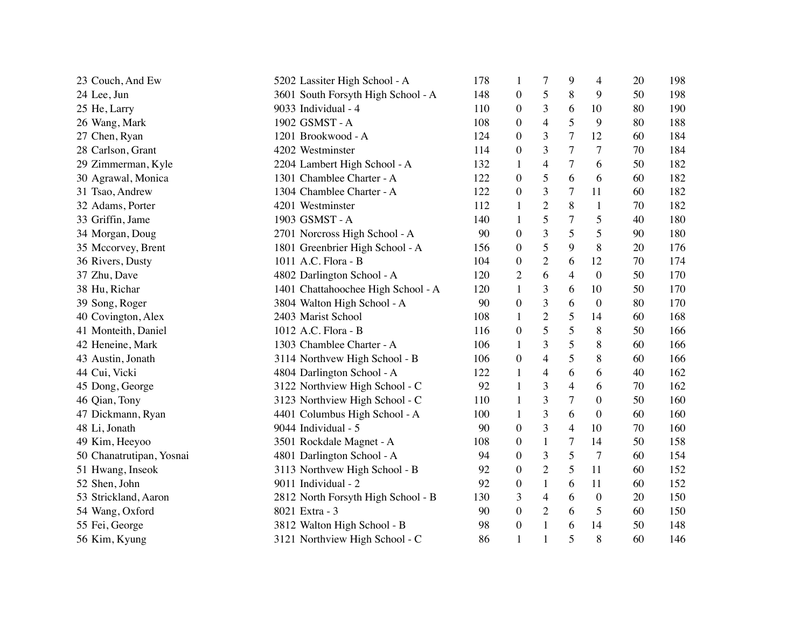| 23 Couch, And Ew         | 5202 Lassiter High School - A      | 178 | 1                | 7                        | 9              | 4                | 20 | 198 |
|--------------------------|------------------------------------|-----|------------------|--------------------------|----------------|------------------|----|-----|
| 24 Lee, Jun              | 3601 South Forsyth High School - A | 148 | $\boldsymbol{0}$ | 5                        | 8              | 9                | 50 | 198 |
| 25 He, Larry             | 9033 Individual - 4                | 110 | $\boldsymbol{0}$ | 3                        | 6              | 10               | 80 | 190 |
| 26 Wang, Mark            | 1902 GSMST-A                       | 108 | $\boldsymbol{0}$ | 4                        | 5              | 9                | 80 | 188 |
| 27 Chen, Ryan            | 1201 Brookwood - A                 | 124 | $\boldsymbol{0}$ | 3                        | $\tau$         | 12               | 60 | 184 |
| 28 Carlson, Grant        | 4202 Westminster                   | 114 | $\boldsymbol{0}$ | 3                        | $\tau$         | $\overline{7}$   | 70 | 184 |
| 29 Zimmerman, Kyle       | 2204 Lambert High School - A       | 132 | 1                | 4                        | $\tau$         | 6                | 50 | 182 |
| 30 Agrawal, Monica       | 1301 Chamblee Charter - A          | 122 | $\boldsymbol{0}$ | 5                        | 6              | 6                | 60 | 182 |
| 31 Tsao, Andrew          | 1304 Chamblee Charter - A          | 122 | $\boldsymbol{0}$ | 3                        | $\tau$         | 11               | 60 | 182 |
| 32 Adams, Porter         | 4201 Westminster                   | 112 | 1                | $\overline{2}$           | 8              | 1                | 70 | 182 |
| 33 Griffin, Jame         | 1903 GSMST-A                       | 140 | $\mathbf{1}$     | 5                        | $\tau$         | 5                | 40 | 180 |
| 34 Morgan, Doug          | 2701 Norcross High School - A      | 90  | $\boldsymbol{0}$ | 3                        | 5              | 5                | 90 | 180 |
| 35 Mccorvey, Brent       | 1801 Greenbrier High School - A    | 156 | $\boldsymbol{0}$ | 5                        | 9              | 8                | 20 | 176 |
| 36 Rivers, Dusty         | 1011 A.C. Flora - B                | 104 | $\boldsymbol{0}$ | $\overline{2}$           | 6              | 12               | 70 | 174 |
| 37 Zhu, Dave             | 4802 Darlington School - A         | 120 | $\overline{2}$   | 6                        | $\overline{4}$ | $\boldsymbol{0}$ | 50 | 170 |
| 38 Hu, Richar            | 1401 Chattahoochee High School - A | 120 | $\mathbf{1}$     | 3                        | 6              | 10               | 50 | 170 |
| 39 Song, Roger           | 3804 Walton High School - A        | 90  | $\boldsymbol{0}$ | 3                        | 6              | $\boldsymbol{0}$ | 80 | 170 |
| 40 Covington, Alex       | 2403 Marist School                 | 108 | 1                | $\overline{2}$           | 5              | 14               | 60 | 168 |
| 41 Monteith, Daniel      | 1012 A.C. Flora - B                | 116 | $\boldsymbol{0}$ | 5                        | 5              | 8                | 50 | 166 |
| 42 Heneine, Mark         | 1303 Chamblee Charter - A          | 106 | $\mathbf{1}$     | 3                        | 5              | 8                | 60 | 166 |
| 43 Austin, Jonath        | 3114 Northvew High School - B      | 106 | $\boldsymbol{0}$ | $\overline{\mathcal{L}}$ | 5              | 8                | 60 | 166 |
| 44 Cui, Vicki            | 4804 Darlington School - A         | 122 | $\mathbf{1}$     | 4                        | 6              | 6                | 40 | 162 |
| 45 Dong, George          | 3122 Northview High School - C     | 92  | $\mathbf{1}$     | 3                        | $\overline{4}$ | 6                | 70 | 162 |
| 46 Qian, Tony            | 3123 Northview High School - C     | 110 | $\mathbf{1}$     | 3                        | $\tau$         | $\boldsymbol{0}$ | 50 | 160 |
| 47 Dickmann, Ryan        | 4401 Columbus High School - A      | 100 | 1                | 3                        | 6              | $\boldsymbol{0}$ | 60 | 160 |
| 48 Li, Jonath            | 9044 Individual - 5                | 90  | $\boldsymbol{0}$ | 3                        | $\overline{4}$ | 10               | 70 | 160 |
| 49 Kim, Heeyoo           | 3501 Rockdale Magnet - A           | 108 | $\boldsymbol{0}$ | 1                        | 7              | 14               | 50 | 158 |
| 50 Chanatrutipan, Yosnai | 4801 Darlington School - A         | 94  | $\boldsymbol{0}$ | 3                        | 5              | $\overline{7}$   | 60 | 154 |
| 51 Hwang, Inseok         | 3113 Northvew High School - B      | 92  | $\boldsymbol{0}$ | $\mathbf{2}$             | 5              | 11               | 60 | 152 |
| 52 Shen, John            | 9011 Individual - 2                | 92  | $\boldsymbol{0}$ | $\mathbf{1}$             | 6              | 11               | 60 | 152 |
| 53 Strickland, Aaron     | 2812 North Forsyth High School - B | 130 | 3                | $\overline{4}$           | 6              | $\boldsymbol{0}$ | 20 | 150 |
| 54 Wang, Oxford          | 8021 Extra - 3                     | 90  | $\boldsymbol{0}$ | $\overline{2}$           | 6              | 5                | 60 | 150 |
| 55 Fei, George           | 3812 Walton High School - B        | 98  | $\boldsymbol{0}$ | 1                        | 6              | 14               | 50 | 148 |
| 56 Kim, Kyung            | 3121 Northview High School - C     | 86  | $\mathbf{1}$     | $\mathbf{1}$             | 5              | 8                | 60 | 146 |